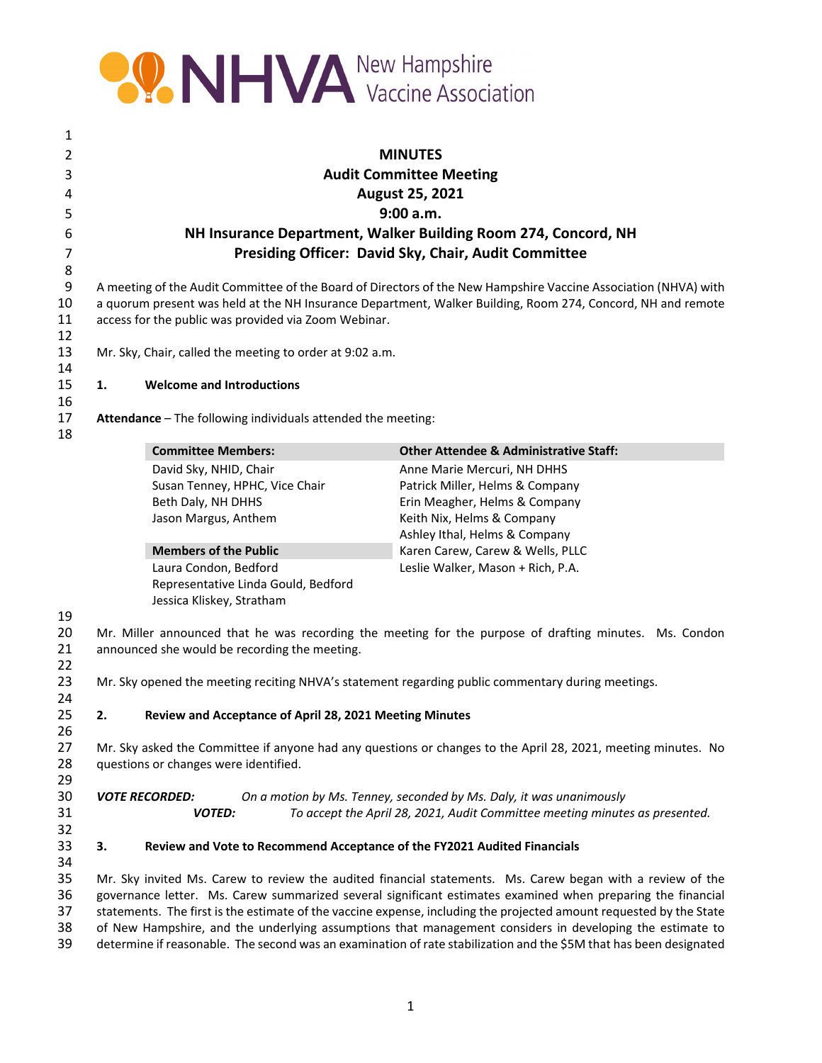

| 1                                                                                                                                                                              |                                                                                                                                                                                                                                                                                                                                                                                                                                                                                                                                                                                    |                                                         |                                                   |  |
|--------------------------------------------------------------------------------------------------------------------------------------------------------------------------------|------------------------------------------------------------------------------------------------------------------------------------------------------------------------------------------------------------------------------------------------------------------------------------------------------------------------------------------------------------------------------------------------------------------------------------------------------------------------------------------------------------------------------------------------------------------------------------|---------------------------------------------------------|---------------------------------------------------|--|
| 2                                                                                                                                                                              | <b>MINUTES</b>                                                                                                                                                                                                                                                                                                                                                                                                                                                                                                                                                                     |                                                         |                                                   |  |
| 3                                                                                                                                                                              | <b>Audit Committee Meeting</b>                                                                                                                                                                                                                                                                                                                                                                                                                                                                                                                                                     |                                                         |                                                   |  |
| 4                                                                                                                                                                              | <b>August 25, 2021</b>                                                                                                                                                                                                                                                                                                                                                                                                                                                                                                                                                             |                                                         |                                                   |  |
| 5                                                                                                                                                                              | 9:00 a.m.                                                                                                                                                                                                                                                                                                                                                                                                                                                                                                                                                                          |                                                         |                                                   |  |
| 6                                                                                                                                                                              | NH Insurance Department, Walker Building Room 274, Concord, NH                                                                                                                                                                                                                                                                                                                                                                                                                                                                                                                     |                                                         |                                                   |  |
| $\overline{7}$                                                                                                                                                                 | Presiding Officer: David Sky, Chair, Audit Committee                                                                                                                                                                                                                                                                                                                                                                                                                                                                                                                               |                                                         |                                                   |  |
|                                                                                                                                                                                | 8                                                                                                                                                                                                                                                                                                                                                                                                                                                                                                                                                                                  |                                                         |                                                   |  |
| 9<br>10<br>11<br>12                                                                                                                                                            | A meeting of the Audit Committee of the Board of Directors of the New Hampshire Vaccine Association (NHVA) with<br>a quorum present was held at the NH Insurance Department, Walker Building, Room 274, Concord, NH and remote<br>access for the public was provided via Zoom Webinar.                                                                                                                                                                                                                                                                                             |                                                         |                                                   |  |
| 13<br>14                                                                                                                                                                       | Mr. Sky, Chair, called the meeting to order at 9:02 a.m.                                                                                                                                                                                                                                                                                                                                                                                                                                                                                                                           |                                                         |                                                   |  |
| 15<br>16                                                                                                                                                                       | <b>Welcome and Introductions</b><br>1.                                                                                                                                                                                                                                                                                                                                                                                                                                                                                                                                             |                                                         |                                                   |  |
| 17<br>18                                                                                                                                                                       | Attendance - The following individuals attended the meeting:                                                                                                                                                                                                                                                                                                                                                                                                                                                                                                                       |                                                         |                                                   |  |
|                                                                                                                                                                                |                                                                                                                                                                                                                                                                                                                                                                                                                                                                                                                                                                                    | <b>Committee Members:</b>                               | <b>Other Attendee &amp; Administrative Staff:</b> |  |
|                                                                                                                                                                                |                                                                                                                                                                                                                                                                                                                                                                                                                                                                                                                                                                                    | David Sky, NHID, Chair                                  | Anne Marie Mercuri, NH DHHS                       |  |
|                                                                                                                                                                                |                                                                                                                                                                                                                                                                                                                                                                                                                                                                                                                                                                                    | Susan Tenney, HPHC, Vice Chair                          | Patrick Miller, Helms & Company                   |  |
|                                                                                                                                                                                |                                                                                                                                                                                                                                                                                                                                                                                                                                                                                                                                                                                    | Beth Daly, NH DHHS                                      | Erin Meagher, Helms & Company                     |  |
|                                                                                                                                                                                |                                                                                                                                                                                                                                                                                                                                                                                                                                                                                                                                                                                    | Jason Margus, Anthem                                    | Keith Nix, Helms & Company                        |  |
|                                                                                                                                                                                |                                                                                                                                                                                                                                                                                                                                                                                                                                                                                                                                                                                    |                                                         | Ashley Ithal, Helms & Company                     |  |
|                                                                                                                                                                                |                                                                                                                                                                                                                                                                                                                                                                                                                                                                                                                                                                                    | <b>Members of the Public</b>                            | Karen Carew, Carew & Wells, PLLC                  |  |
|                                                                                                                                                                                |                                                                                                                                                                                                                                                                                                                                                                                                                                                                                                                                                                                    | Laura Condon, Bedford                                   | Leslie Walker, Mason + Rich, P.A.                 |  |
|                                                                                                                                                                                |                                                                                                                                                                                                                                                                                                                                                                                                                                                                                                                                                                                    | Representative Linda Gould, Bedford                     |                                                   |  |
|                                                                                                                                                                                |                                                                                                                                                                                                                                                                                                                                                                                                                                                                                                                                                                                    | Jessica Kliskey, Stratham                               |                                                   |  |
| 19<br>20<br>21                                                                                                                                                                 | Mr. Miller announced that he was recording the meeting for the purpose of drafting minutes. Ms. Condon<br>announced she would be recording the meeting.                                                                                                                                                                                                                                                                                                                                                                                                                            |                                                         |                                                   |  |
| 22<br>23<br>24                                                                                                                                                                 | Mr. Sky opened the meeting reciting NHVA's statement regarding public commentary during meetings.                                                                                                                                                                                                                                                                                                                                                                                                                                                                                  |                                                         |                                                   |  |
| 25                                                                                                                                                                             | 2.                                                                                                                                                                                                                                                                                                                                                                                                                                                                                                                                                                                 | Review and Acceptance of April 28, 2021 Meeting Minutes |                                                   |  |
| 26<br>27<br>Mr. Sky asked the Committee if anyone had any questions or changes to the April 28, 2021, meeting minutes. No<br>28<br>questions or changes were identified.<br>29 |                                                                                                                                                                                                                                                                                                                                                                                                                                                                                                                                                                                    |                                                         |                                                   |  |
| 30<br>31<br>32                                                                                                                                                                 | <b>VOTE RECORDED:</b><br>On a motion by Ms. Tenney, seconded by Ms. Daly, it was unanimously<br><b>VOTED:</b><br>To accept the April 28, 2021, Audit Committee meeting minutes as presented.                                                                                                                                                                                                                                                                                                                                                                                       |                                                         |                                                   |  |
| 33<br>34                                                                                                                                                                       | 3.<br>Review and Vote to Recommend Acceptance of the FY2021 Audited Financials                                                                                                                                                                                                                                                                                                                                                                                                                                                                                                     |                                                         |                                                   |  |
| 35<br>36<br>37<br>38<br>39                                                                                                                                                     | Mr. Sky invited Ms. Carew to review the audited financial statements. Ms. Carew began with a review of the<br>governance letter. Ms. Carew summarized several significant estimates examined when preparing the financial<br>statements. The first is the estimate of the vaccine expense, including the projected amount requested by the State<br>of New Hampshire, and the underlying assumptions that management considers in developing the estimate to<br>determine if reasonable. The second was an examination of rate stabilization and the \$5M that has been designated |                                                         |                                                   |  |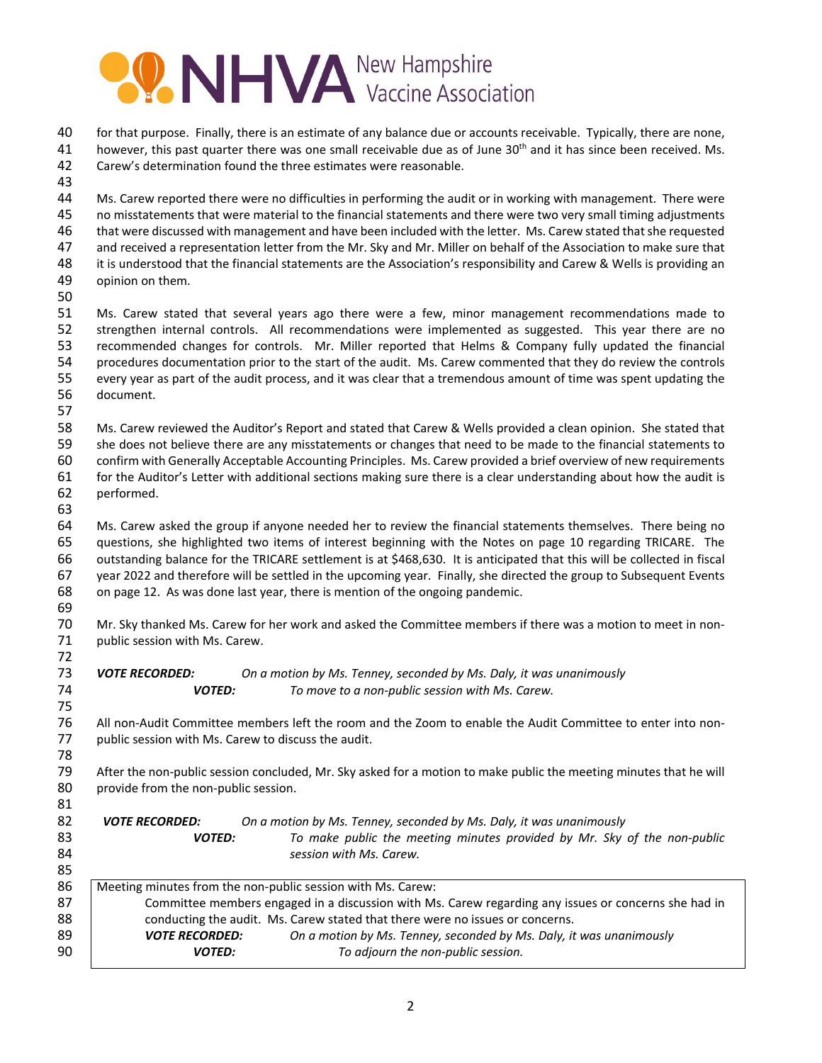# **OO NHVA** New Hampshire

| 40<br>41<br>42<br>43                   | for that purpose. Finally, there is an estimate of any balance due or accounts receivable. Typically, there are none,<br>however, this past quarter there was one small receivable due as of June 30 <sup>th</sup> and it has since been received. Ms.<br>Carew's determination found the three estimates were reasonable.                                                                                                                                                                                                                                                                                                 |  |  |  |
|----------------------------------------|----------------------------------------------------------------------------------------------------------------------------------------------------------------------------------------------------------------------------------------------------------------------------------------------------------------------------------------------------------------------------------------------------------------------------------------------------------------------------------------------------------------------------------------------------------------------------------------------------------------------------|--|--|--|
| 44<br>45<br>46<br>47<br>48<br>49<br>50 | Ms. Carew reported there were no difficulties in performing the audit or in working with management. There were<br>no misstatements that were material to the financial statements and there were two very small timing adjustments<br>that were discussed with management and have been included with the letter. Ms. Carew stated that she requested<br>and received a representation letter from the Mr. Sky and Mr. Miller on behalf of the Association to make sure that<br>it is understood that the financial statements are the Association's responsibility and Carew & Wells is providing an<br>opinion on them. |  |  |  |
| 51<br>52<br>53<br>54<br>55<br>56<br>57 | Ms. Carew stated that several years ago there were a few, minor management recommendations made to<br>strengthen internal controls. All recommendations were implemented as suggested. This year there are no<br>recommended changes for controls. Mr. Miller reported that Helms & Company fully updated the financial<br>procedures documentation prior to the start of the audit. Ms. Carew commented that they do review the controls<br>every year as part of the audit process, and it was clear that a tremendous amount of time was spent updating the<br>document.                                                |  |  |  |
| 58<br>59<br>60<br>61<br>62<br>63       | Ms. Carew reviewed the Auditor's Report and stated that Carew & Wells provided a clean opinion. She stated that<br>she does not believe there are any misstatements or changes that need to be made to the financial statements to<br>confirm with Generally Acceptable Accounting Principles. Ms. Carew provided a brief overview of new requirements<br>for the Auditor's Letter with additional sections making sure there is a clear understanding about how the audit is<br>performed.                                                                                                                                |  |  |  |
| 64<br>65<br>66<br>67<br>68<br>69       | Ms. Carew asked the group if anyone needed her to review the financial statements themselves. There being no<br>questions, she highlighted two items of interest beginning with the Notes on page 10 regarding TRICARE. The<br>outstanding balance for the TRICARE settlement is at \$468,630. It is anticipated that this will be collected in fiscal<br>year 2022 and therefore will be settled in the upcoming year. Finally, she directed the group to Subsequent Events<br>on page 12. As was done last year, there is mention of the ongoing pandemic.                                                               |  |  |  |
| 70<br>71<br>72                         | Mr. Sky thanked Ms. Carew for her work and asked the Committee members if there was a motion to meet in non-<br>public session with Ms. Carew.                                                                                                                                                                                                                                                                                                                                                                                                                                                                             |  |  |  |
| 73<br>74<br>75                         | <b>VOTE RECORDED:</b><br>On a motion by Ms. Tenney, seconded by Ms. Daly, it was unanimously<br>To move to a non-public session with Ms. Carew.<br><b>VOTED:</b>                                                                                                                                                                                                                                                                                                                                                                                                                                                           |  |  |  |
| 76<br>77<br>78                         | All non-Audit Committee members left the room and the Zoom to enable the Audit Committee to enter into non-<br>public session with Ms. Carew to discuss the audit.                                                                                                                                                                                                                                                                                                                                                                                                                                                         |  |  |  |
| 79<br>80<br>81                         | After the non-public session concluded, Mr. Sky asked for a motion to make public the meeting minutes that he will<br>provide from the non-public session.                                                                                                                                                                                                                                                                                                                                                                                                                                                                 |  |  |  |
| 82<br>83<br>84<br>85                   | On a motion by Ms. Tenney, seconded by Ms. Daly, it was unanimously<br><b>VOTE RECORDED:</b><br>To make public the meeting minutes provided by Mr. Sky of the non-public<br><b>VOTED:</b><br>session with Ms. Carew.                                                                                                                                                                                                                                                                                                                                                                                                       |  |  |  |
| 86<br>87<br>88<br>89<br>90             | Meeting minutes from the non-public session with Ms. Carew:<br>Committee members engaged in a discussion with Ms. Carew regarding any issues or concerns she had in<br>conducting the audit. Ms. Carew stated that there were no issues or concerns.<br>On a motion by Ms. Tenney, seconded by Ms. Daly, it was unanimously<br><b>VOTE RECORDED:</b><br><b>VOTED:</b><br>To adjourn the non-public session.                                                                                                                                                                                                                |  |  |  |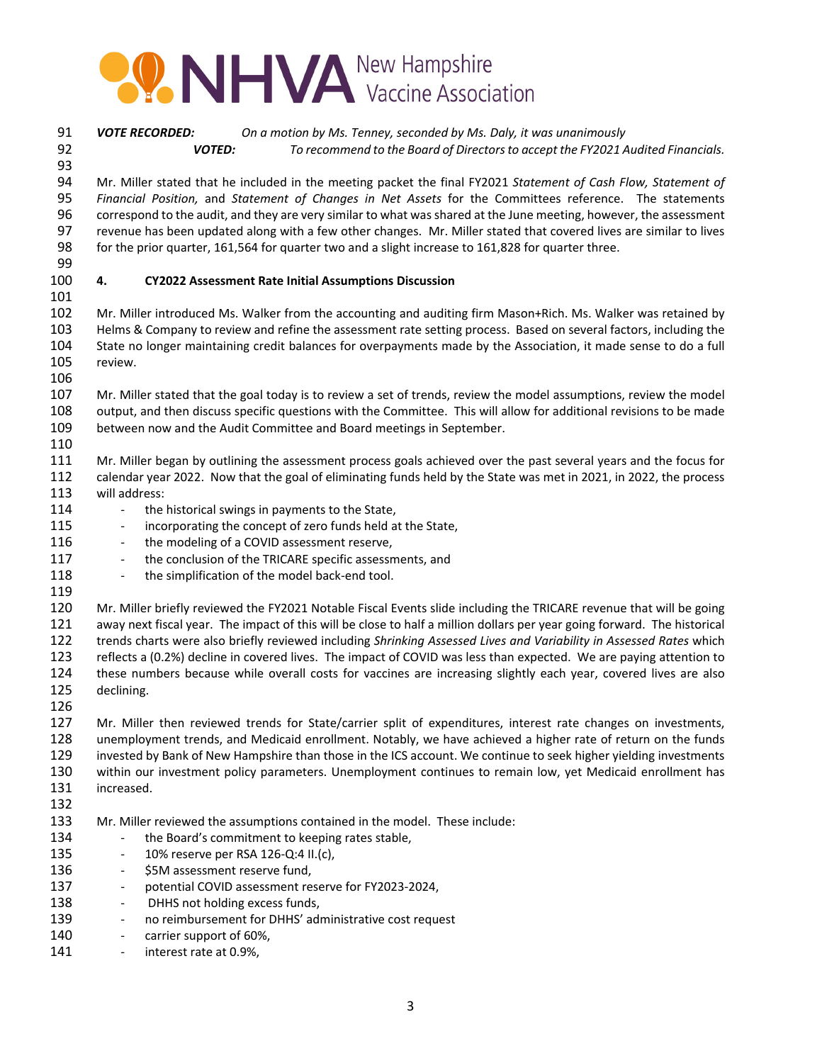

 *VOTE RECORDED: On a motion by Ms. Tenney, seconded by Ms. Daly, it was unanimously VOTED: To recommend to the Board of Directorsto accept the FY2021 Audited Financials.*

 Mr. Miller stated that he included in the meeting packet the final FY2021 *Statement of Cash Flow, Statement of Financial Position,* and *Statement of Changes in Net Assets* for the Committees reference. The statements correspond to the audit, and they are very similar to what was shared at the June meeting, however, the assessment revenue has been updated along with a few other changes. Mr. Miller stated that covered lives are similar to lives for the prior quarter, 161,564 for quarter two and a slight increase to 161,828 for quarter three.

 

### **4. CY2022 Assessment Rate Initial Assumptions Discussion**

 Mr. Miller introduced Ms. Walker from the accounting and auditing firm Mason+Rich. Ms. Walker was retained by Helms & Company to review and refine the assessment rate setting process. Based on several factors, including the State no longer maintaining credit balances for overpayments made by the Association, it made sense to do a full review.

 Mr. Miller stated that the goal today is to review a set of trends, review the model assumptions, review the model output, and then discuss specific questions with the Committee. This will allow for additional revisions to be made between now and the Audit Committee and Board meetings in September.

 Mr. Miller began by outlining the assessment process goals achieved over the past several years and the focus for calendar year 2022. Now that the goal of eliminating funds held by the State was met in 2021, in 2022, the process will address:

- 114 the historical swings in payments to the State,
- 115 incorporating the concept of zero funds held at the State,
- 116 the modeling of a COVID assessment reserve,
- 117 the conclusion of the TRICARE specific assessments, and
- 118 the simplification of the model back-end tool.
- 

 Mr. Miller briefly reviewed the FY2021 Notable Fiscal Events slide including the TRICARE revenue that will be going away next fiscal year. The impact of this will be close to half a million dollars per year going forward. The historical trends charts were also briefly reviewed including *Shrinking Assessed Lives and Variability in Assessed Rates* which reflects a (0.2%) decline in covered lives. The impact of COVID was less than expected. We are paying attention to these numbers because while overall costs for vaccines are increasing slightly each year, covered lives are also declining.

 Mr. Miller then reviewed trends for State/carrier split of expenditures, interest rate changes on investments, unemployment trends, and Medicaid enrollment. Notably, we have achieved a higher rate of return on the funds invested by Bank of New Hampshire than those in the ICS account. We continue to seek higher yielding investments within our investment policy parameters. Unemployment continues to remain low, yet Medicaid enrollment has increased.

- Mr. Miller reviewed the assumptions contained in the model. These include:
- 134 the Board's commitment to keeping rates stable,
- ‐ 10% reserve per RSA 126‐Q:4 II.(c),
- 136 \$5M assessment reserve fund,
- **••** potential COVID assessment reserve for FY2023-2024,
- 138 DHHS not holding excess funds,
- 139 no reimbursement for DHHS' administrative cost request
- 140 carrier support of 60%,
- 141 interest rate at 0.9%,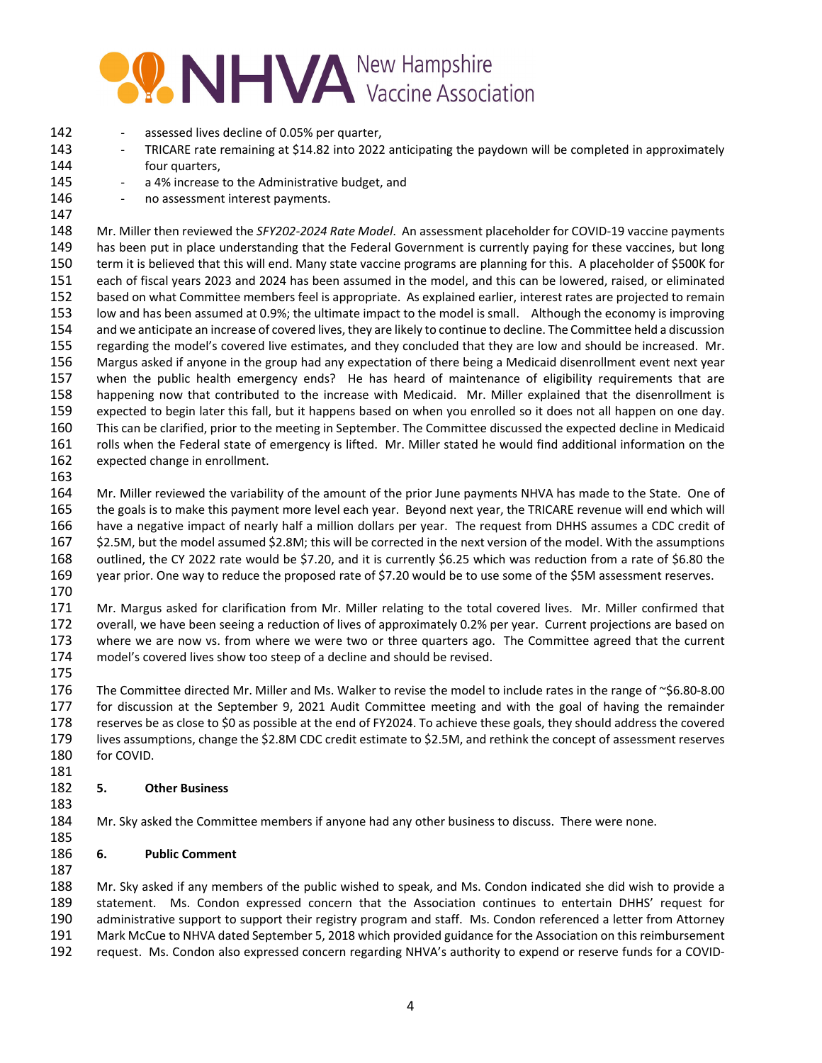## **WIHVA** Vaccine Association

- 142 assessed lives decline of 0.05% per quarter,
- 143 •• TRICARE rate remaining at \$14.82 into 2022 anticipating the paydown will be completed in approximately four quarters,
- 145 a 4% increase to the Administrative budget, and
- 146 no assessment interest payments.
- 

 Mr. Miller then reviewed the *SFY202‐2024 Rate Model*. An assessment placeholder for COVID‐19 vaccine payments has been put in place understanding that the Federal Government is currently paying for these vaccines, but long term it is believed that this will end. Many state vaccine programs are planning for this. A placeholder of \$500K for each of fiscal years 2023 and 2024 has been assumed in the model, and this can be lowered, raised, or eliminated based on what Committee members feel is appropriate. As explained earlier, interest rates are projected to remain low and has been assumed at 0.9%; the ultimate impact to the model is small. Although the economy is improving and we anticipate an increase of covered lives, they are likely to continue to decline. The Committee held a discussion regarding the model's covered live estimates, and they concluded that they are low and should be increased. Mr. Margus asked if anyone in the group had any expectation of there being a Medicaid disenrollment event next year when the public health emergency ends? He has heard of maintenance of eligibility requirements that are happening now that contributed to the increase with Medicaid. Mr. Miller explained that the disenrollment is expected to begin later this fall, but it happens based on when you enrolled so it does not all happen on one day. This can be clarified, prior to the meeting in September. The Committee discussed the expected decline in Medicaid rolls when the Federal state of emergency is lifted. Mr. Miller stated he would find additional information on the expected change in enrollment.

 Mr. Miller reviewed the variability of the amount of the prior June payments NHVA has made to the State. One of the goals is to make this payment more level each year. Beyond next year, the TRICARE revenue will end which will have a negative impact of nearly half a million dollars per year. The request from DHHS assumes a CDC credit of \$2.5M, but the model assumed \$2.8M; this will be corrected in the next version of the model. With the assumptions outlined, the CY 2022 rate would be \$7.20, and it is currently \$6.25 which was reduction from a rate of \$6.80 the year prior. One way to reduce the proposed rate of \$7.20 would be to use some of the \$5M assessment reserves.

 Mr. Margus asked for clarification from Mr. Miller relating to the total covered lives. Mr. Miller confirmed that overall, we have been seeing a reduction of lives of approximately 0.2% per year. Current projections are based on where we are now vs. from where we were two or three quarters ago. The Committee agreed that the current model's covered lives show too steep of a decline and should be revised.

 The Committee directed Mr. Miller and Ms. Walker to revise the model to include rates in the range of ~\$6.80‐8.00 for discussion at the September 9, 2021 Audit Committee meeting and with the goal of having the remainder reserves be as close to \$0 as possible at the end of FY2024. To achieve these goals, they should address the covered lives assumptions, change the \$2.8M CDC credit estimate to \$2.5M, and rethink the concept of assessment reserves for COVID. 

### **5. Other Business**

Mr. Sky asked the Committee members if anyone had any other business to discuss. There were none.

### **6. Public Comment**

 Mr. Sky asked if any members of the public wished to speak, and Ms. Condon indicated she did wish to provide a statement. Ms. Condon expressed concern that the Association continues to entertain DHHS' request for administrative support to support their registry program and staff. Ms. Condon referenced a letter from Attorney Mark McCue to NHVA dated September 5, 2018 which provided guidance for the Association on this reimbursement request. Ms. Condon also expressed concern regarding NHVA's authority to expend or reserve funds for a COVID‐